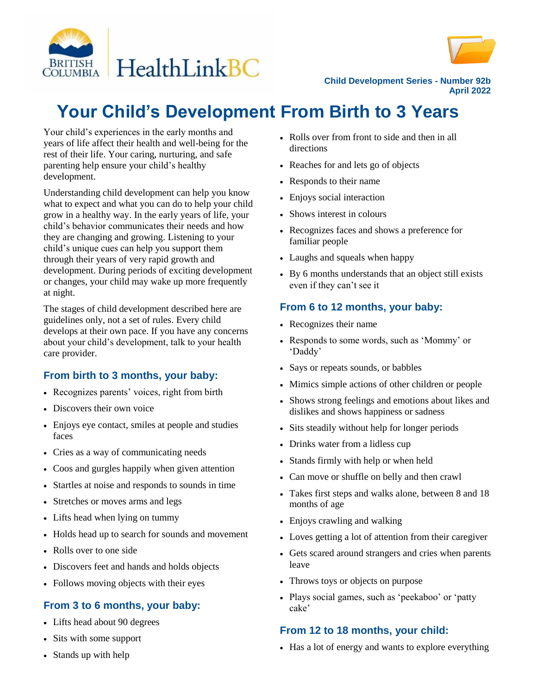



**Child Development Series - Number 92b April 2022**

# **Your Child's Development From Birth to 3 Years**

Your child's experiences in the early months and years of life affect their health and well-being for the rest of their life. Your caring, nurturing, and safe parenting help ensure your child's healthy development.

Understanding child development can help you know what to expect and what you can do to help your child grow in a healthy way. In the early years of life, your child's behavior communicates their needs and how they are changing and growing. Listening to your child's unique cues can help you support them through their years of very rapid growth and development. During periods of exciting development or changes, your child may wake up more frequently at night.

The stages of child development described here are guidelines only, not a set of rules. Every child develops at their own pace. If you have any concerns about your child's development, talk to your health care provider.

# **From birth to 3 months, your baby:**

- Recognizes parents' voices, right from birth
- Discovers their own voice
- Enjoys eye contact, smiles at people and studies faces
- Cries as a way of communicating needs
- Coos and gurgles happily when given attention
- Startles at noise and responds to sounds in time
- Stretches or moves arms and legs
- Lifts head when lying on tummy
- Holds head up to search for sounds and movement
- Rolls over to one side
- Discovers feet and hands and holds objects
- Follows moving objects with their eyes

### **From 3 to 6 months, your baby:**

- Lifts head about 90 degrees
- Sits with some support
- Stands up with help
- Rolls over from front to side and then in all directions
- Reaches for and lets go of objects
- Responds to their name
- Enjoys social interaction
- Shows interest in colours
- Recognizes faces and shows a preference for familiar people
- Laughs and squeals when happy
- By 6 months understands that an object still exists even if they can't see it

## **From 6 to 12 months, your baby:**

- Recognizes their name
- Responds to some words, such as 'Mommy' or 'Daddy'
- Says or repeats sounds, or babbles
- Mimics simple actions of other children or people
- Shows strong feelings and emotions about likes and dislikes and shows happiness or sadness
- Sits steadily without help for longer periods
- Drinks water from a lidless cup
- Stands firmly with help or when held
- Can move or shuffle on belly and then crawl
- Takes first steps and walks alone, between 8 and 18 months of age
- Enjoys crawling and walking
- Loves getting a lot of attention from their caregiver
- Gets scared around strangers and cries when parents leave
- Throws toys or objects on purpose
- Plays social games, such as 'peekaboo' or 'patty cake'

### **From 12 to 18 months, your child:**

• Has a lot of energy and wants to explore everything